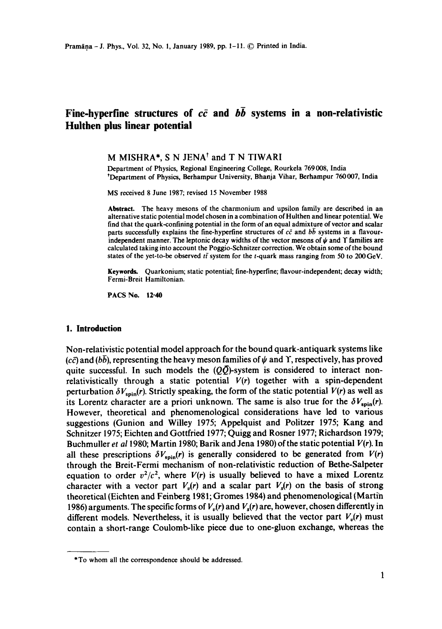# Fine-hyperfine structures of  $c\bar{c}$  and  $b\bar{b}$  systems in a non-relativistic **Huithen plus linear potential**

# **M MISHRA\*, S N** JENA t and **T N** TIWARI

Department of Physics, Regional Engineering College, Rourkela 769008, India tDepartment of Physics, Berhampur University, Bhanja Vihar, Berhampur 760007, India

MS received 8 June 1987; revised 15 November 1988

**Abstract.** The heavy mesons of the charmonium and upsilon family are described in an alternative static potential model chosen in a combination of Hulthen and linear potential. We find that the quark-confining potential in the form of an equal admixture of vector and scalar parts successfully explains the fine-hyperfine structures of  $c\bar{c}$  and  $b\bar{b}$  systems in a flavourindependent manner. The leptonic decay widths of the vector mesons of  $\psi$  and  $\Upsilon$  families are calculated taking into account the Poggio-Schnitzer correction. We obtain some of the bound states of the yet-to-be observed  $t\bar{t}$  system for the t-quark mass ranging from 50 to 200 GeV.

**Keywords.** Quarkonium; static potential; fine-hyperfine; flavour-independent; decay width; Fermi-Breit Hamiltonian.

PACS No. 12.40

## **1. Introduction**

Non-relativistic potential model approach for the bound quark-antiquark systems like (cc) and ( $b\bar{b}$ ), representing the heavy meson families of  $\psi$  and Y, respectively, has proved quite successful. In such models the  $(Q\bar{Q})$ -system is considered to interact nonrelativistically through a static potential  $V(r)$  together with a spin-dependent perturbation  $\delta V_{\text{spin}}(r)$ . Strictly speaking, the form of the static potential  $V(r)$  as well as its Lorentz character are a priori unknown. The same is also true for the  $\delta V_{\text{spin}}(r)$ . However, theoretical and phenomenological considerations have led to various suggestions (Gunion and Wiiley 1975; Appelquist and Politzer 1975; Kang and Schnitzer 1975; Eichten and Gottfried 1977; Quigg and Rosner 1977; Richardson 1979; Buchmuiler *et a11980;* Martin 1980; Barik and Jena 1980)of the static potential *V(r).* In all these prescriptions  $\delta V_{\text{spin}}(r)$  is generally considered to be generated from  $V(r)$ through the Breit-Fermi mechanism of non-relativistic reduction of Bethe-Salpeter equation to order  $v^2/c^2$ , where  $V(r)$  is usually believed to have a mixed Lorentz character with a vector part  $V_v(r)$  and a scalar part  $V_s(r)$  on the basis of strong theoretical (Eichten and Feinberg 1981; Gromes 1984) and phenomenological (Martin 1986) arguments. The specific forms of  $V_v(r)$  and  $V_s(r)$  are, however, chosen differently in different models. Nevertheless, it is usually believed that the vector part  $V_p(r)$  must contain a short-range Coulomb-like piece due to one-gluon exchange, whereas the

<sup>\*</sup>To whom all the correspondence should be addressed.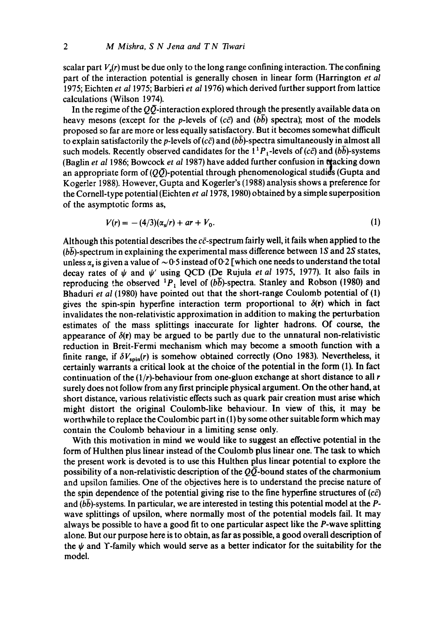scalar part  $V_s(r)$  must be due only to the long range confining interaction. The confining part of the interaction potential is generally chosen in linear form (Harrington *et al*  1975; Eichten *et a11975;* Barbieri *et al* 1976) which derived further support from lattice calculations (Wilson 1974).

In the regime of the  $Q\bar{Q}$ -interaction explored through the presently available data on heavy mesons (except for the p-levels of  $(c\bar{c})$  and  $(b\bar{b})$  spectra); most of the models proposed so far are more or less equally satisfactory. But it becomes somewhat difficult to explain satisfactorily the p-levels of ( $c\bar{c}$ ) and ( $b\bar{b}$ )-spectra simultaneously in almost all such models. Recently observed candidates for the  $1^{1}P_{1}$ -levels of (cc) and (bb)-systems (Baglin et al 1986; Bowcock et al 1987) have added further confusion in tracking down an appropriate form of  $(Q\bar{Q})$ -potential through phenomenological studies (Gupta and Kogerler 1988). However, Gupta and Kogerler's (1988) analysis shows a preference for the Cornell-type potential (Eichten *et al* 1978, 1980) obtained by a simple superposition of the asymptotic forms as,

$$
V(r) = -(4/3)(\alpha_s/r) + ar + V_0. \tag{1}
$$

Although this potential describes the  $c\bar{c}$ -spectrum fairly well, it fails when applied to the  $(b\bar{b})$ -spectrum in explaining the experimental mass difference between 1S and 2S states, unless  $\alpha$ , is given a value of  $\sim 0.5$  instead of 0.2 [which one needs to understand the total decay rates of  $\psi$  and  $\psi'$  using QCD (De Rujula *et al* 1975, 1977). It also fails in reproducing the observed <sup>1</sup>P<sub>1</sub> level of ( $b\bar{b}$ )-spectra. Stanley and Robson (1980) and Bhaduri *et al* (1980) have pointed out that the short-range Coulomb potential of (1) gives the spin-spin hyperfine interaction term proportional to  $\delta(\mathbf{r})$  which in fact invalidates the non-relativistic approximation in addition to making the perturbation estimates of the mass splittings inaccurate for lighter hadrons. Of course, the appearance of  $\delta(\mathbf{r})$  may be argued to be partly due to the unnatural non-relativistic reduction in Breit-Fermi mechanism which may become a smooth function with a finite range, if  $\delta V_{spin}(r)$  is somehow obtained correctly (Ono 1983). Nevertheless, it certainly warrants a critical look at the choice of the potential in the form (1). In fact continuation of the  $(1/r)$ -behaviour from one-gluon exchange at short distance to all  $r$ surely does not follow from any first principle physical argument. On the other hand, at short distance, various relativistic effects such as quark pair creation must arise which might distort the original Coulomb-like behaviour. In view of this, it may be worthwhile to replace the Coulombic part in (1) by some other suitable form which may contain the Coulomb behaviour in a limiting sense only.

With this motivation in mind we would like to suggest an effective potential in the form of Hulthen plus linear instead of the Coulomb plus linear one. The task to which the present work is devoted is to use this Hulthen plus linear potential to explore the possibility of a non-relativistic description of the  $Q\overline{Q}$ -bound states of the charmonium and upsilon families. One of the objectives here is to understand the precise nature of the spin dependence of the potential giving rise to the fine hyperfine structures of  $(c\bar{c})$ and  $(b\bar{b})$ -systems. In particular, we are interested in testing this potential model at the Pwave splittings of upsilon, where normally most of the potential models fail. It may always be possible to have a good fit to one particular aspect like the P-wave splitting alone. But our purpose here is to obtain, as far as possible, a good overall description of the  $\psi$  and Y-family which would serve as a better indicator for the suitability for the model.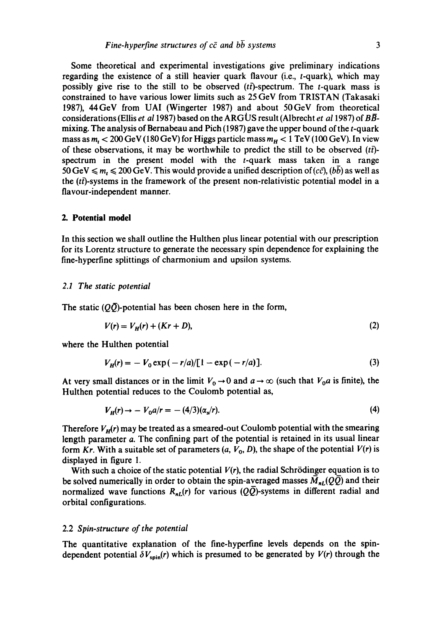Some theoretical and experimental investigations give preliminary indications regarding the existence of a still heavier quark fiavour (i.e., t-quark), which may possibly give rise to the still to be observed  $(t\bar{t})$ -spectrum. The t-quark mass is constrained to have various lower limits such as 25 GeV from TRISTAN (Takasaki 1987), 44GeV from UAI (Wingerter 1987) and about 50GeV from theoretical considerations (Ellis *et al 1987)* based on the ARGUS result (Albrecht *et al 1987)* of BBmixing. The analysis of Bernabeau and Pich  $(1987)$  gave the upper bound of the t-quark mass as  $m_t < 200 \,\text{GeV}$  (180 GeV) for Higgs particle mass  $m_H < 1 \,\text{TeV}$  (100 GeV). In view of these observations, it may be worthwhile to predict the still to be observed  $(t\bar{t})$ spectrum in the present model with the  $t$ -quark mass taken in a range 50 GeV  $\leq m$ ,  $\leq$  200 GeV. This would provide a unified description of (*cc*), (*bb*) as well as the  $(t\bar{t})$ -systems in the framework of the present non-relativistic potential model in a flavour-independent manner.

## **2. Potential model**

In this section we shall outline the Hulthen plus linear potential with our prescription for its Lorentz structure to generate the necessary spin dependence for explaining the fine-hyperfine splittings of charmonium and upsilon systems.

## *2.1 The static potential*

The static  $(Q\overline{Q})$ -potential has been chosen here in the form,

$$
V(r) = V_H(r) + (Kr + D),
$$
 (2)

where the Hulthen potential

$$
V_H(r) = -V_0 \exp(-r/a) / [1 - \exp(-r/a)]. \tag{3}
$$

At very small distances or in the limit  $V_0 \rightarrow 0$  and  $a \rightarrow \infty$  (such that  $V_0 a$  is finite), the Hulthen potential reduces to the Coulomb potential as,

$$
V_H(r) \to -V_0 a/r = -(4/3)(\alpha_s/r). \tag{4}
$$

Therefore  $V_H(r)$  may be treated as a smeared-out Coulomb potential with the smearing length parameter a. The confining part of the potential is retained in its usual linear form *Kr.* With a suitable set of parameters  $(a, V_0, D)$ , the shape of the potential  $V(r)$  is displayed in figure 1.

With such a choice of the static potential  $V(r)$ , the radial Schrödinger equation is to be solved numerically in order to obtain the spin-averaged masses  $\bar{M}_{nL}(Q\bar{Q})$  and their normalized wave functions  $R_{nl}(r)$  for various ( $Q\overline{Q}$ )-systems in different radial and orbital configurations.

#### 2.2 *Spin-structure of the potential*

The quantitative explanation of the fine-hypertine levels depends on the spindependent potential  $\delta V_{\text{spin}}(r)$  which is presumed to be generated by  $V(r)$  through the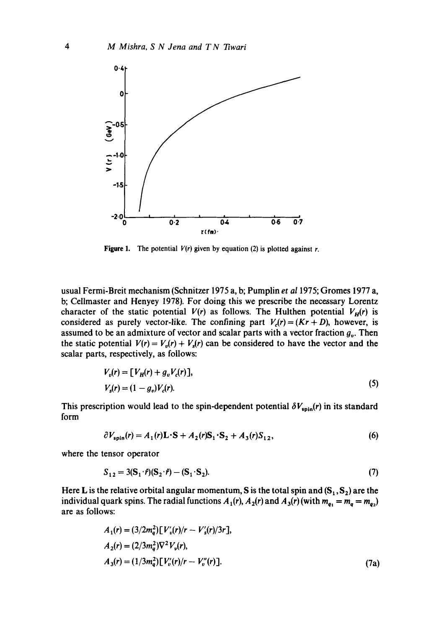

**Figure 1.** The potential  $V(r)$  given by equation (2) is plotted against r.

usual Fermi-Breit mechanism (Schnitzer 1975 a, b; Pumplin *et a11975;* Gromes 1977 a, b; Cellmaster and Henyey 1978). For doing this we prescribe the necessary Lorentz character of the static potential  $V(r)$  as follows. The Huithen potential  $V<sub>H</sub>(r)$  is considered as purely vector-like. The confining part  $V_c(r) = (Kr + D)$ , however, is assumed to be an admixture of vector and scalar parts with a vector fraction  $g_{\nu}$ . Then the static potential  $V(r) = V_v(r) + V_s(r)$  can be considered to have the vector and the scalar parts, respectively, as follows:

$$
V_v(r) = [V_H(r) + g_v V_c(r)],
$$
  
\n
$$
V_s(r) = (1 - g_v)V_c(r).
$$
\n(5)

This prescription would lead to the spin-dependent potential  $\delta V_{\rm spin}(r)$  in its standard form

$$
\partial V_{\text{spin}}(r) = A_1(r)\mathbf{L} \cdot \mathbf{S} + A_2(r)\mathbf{S}_1 \cdot \mathbf{S}_2 + A_3(r)\mathbf{S}_{12},\tag{6}
$$

where the tensor operator

$$
S_{12} = 3(S_1 \cdot \hat{r})(S_2 \cdot \hat{r}) - (S_1 \cdot S_2). \tag{7}
$$

Here L is the relative orbital angular momentum, S is the total spin and  $(S_1, S_2)$  are the individual quark spins. The radial functions  $A_1(r)$ ,  $A_2(r)$  and  $A_3(r)$  (with  $m_{q_1} = m_q = m_{q_2}$ ) are as follows:

$$
A_1(r) = (3/2m_q^2) [V'_v(r)/r - V'_s(r)/3r],
$$
  
\n
$$
A_2(r) = (2/3m_q^2) \nabla^2 V_v(r),
$$
  
\n
$$
A_3(r) = (1/3m_q^2) [V'_v(r)/r - V''_v(r)].
$$
\n(7a)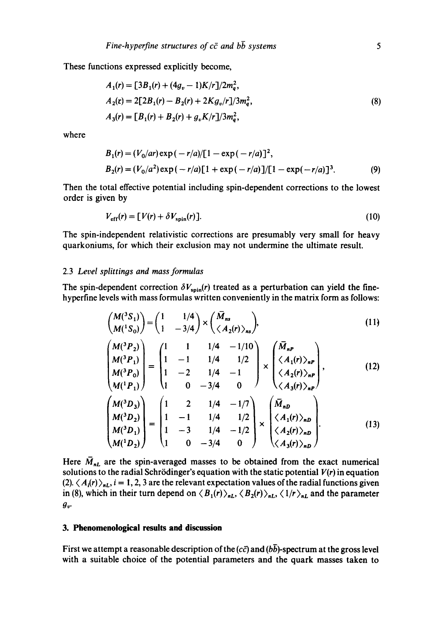These functions expressed explicitly become,

$$
A_1(r) = [3B_1(r) + (4g_v - 1)K/r]/2m_q^2,
$$
  
\n
$$
A_2(r) = 2[2B_1(r) - B_2(r) + 2Kg_v/r]/3m_q^2,
$$
  
\n
$$
A_3(r) = [B_1(r) + B_2(r) + g_v K/r]/3m_q^2,
$$
\n(8)

where

$$
B_1(r) = (V_0/ar) \exp(-r/a)/[1 - \exp(-r/a)]^2,
$$
  
\n
$$
B_2(r) = (V_0/a^2) \exp(-r/a)[1 + \exp(-r/a)]/[1 - \exp(-r/a)]^3.
$$
 (9)

Then the total effective potential including spin-dependent corrections to the lowest order is given by

$$
V_{\text{eff}}(r) = [V(r) + \delta V_{\text{spin}}(r)].
$$
\n(10)

The spin-independent relativistic corrections are presumably very small for heavy quarkoniums, for which their exclusion may not undermine the ultimate result.

## 2.3 *Level splittings and mass formulas*

The spin-dependent correction  $\delta V_{\text{spin}}(r)$  treated as a perturbation can yield the finehyperfine levels with mass formulas written conveniently in the matrix form as follows:

$$
\begin{pmatrix} M(^3S_1) \\ M(^1S_0) \end{pmatrix} = \begin{pmatrix} 1 & 1/4 \\ 1 & -3/4 \end{pmatrix} \times \begin{pmatrix} \bar{M}_{ns} \\ \langle A_2(r) \rangle_{ns} \end{pmatrix},
$$
\n(11)

$$
\begin{pmatrix}\nM(^{3}P_{2}) \\
M(^{3}P_{1}) \\
M(^{3}P_{0}) \\
M(^{1}P_{1})\n\end{pmatrix} = \begin{pmatrix}\n1 & 1 & 1/4 & -1/10 \\
1 & -1 & 1/4 & 1/2 \\
1 & -2 & 1/4 & -1 \\
1 & 0 & -3/4 & 0\n\end{pmatrix} \times \begin{pmatrix}\n\overline{M}_{nP} \\
\langle A_{1}(r) \rangle_{nP} \\
\langle A_{2}(r) \rangle_{nP} \\
\langle A_{3}(r) \rangle_{nP}\n\end{pmatrix},
$$
\n(12)

$$
\begin{pmatrix}\nM(^{3}D_{3}) \\
M(^{3}D_{2}) \\
M(^{3}D_{1}) \\
M(^{1}D_{2})\n\end{pmatrix} = \begin{pmatrix}\n1 & 2 & 1/4 & -1/7 \\
1 & -1 & 1/4 & 1/2 \\
1 & -3 & 1/4 & -1/2 \\
1 & 0 & -3/4 & 0\n\end{pmatrix} \times \begin{pmatrix}\n\overline{M}_{nD} \\
\langle A_{1}(r) \rangle_{nD} \\
\langle A_{2}(r) \rangle_{nD} \\
\langle A_{3}(r) \rangle_{nD}\n\end{pmatrix} .
$$
\n(13)

Here  $\bar{M}_{nL}$  are the spin-averaged masses to be obtained from the exact numerical solutions to the radial Schrödinger's equation with the static potential  $V(r)$  in equation  $(2)$ .  $\langle A_i(r) \rangle_{n}$ ,  $i = 1, 2, 3$  are the relevant expectation values of the radial functions given in (8), which in their turn depend on  $\langle B_1(r) \rangle_{nL}$ ,  $\langle B_2(r) \rangle_{nL}$ ,  $\langle 1/r \rangle_{nL}$  and the parameter  $g_v$ .

# **3. Phenomenological results and discussion**

First we attempt a reasonable description of the  $(c\bar{c})$  and  $(b\bar{b})$ -spectrum at the gross level with a suitable choice of the potential parameters and the quark masses taken to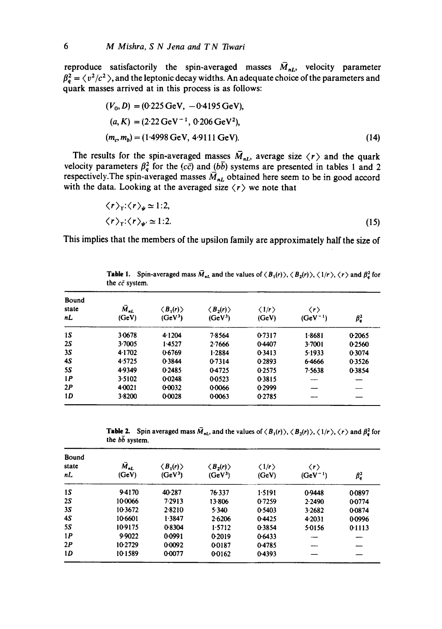reproduce satisfactorily the spin-averaged masses  $\bar{M}_{nl}$ , velocity parameter  $f_a^2 = \langle v^2/c^2 \rangle$ , and the leptonic decay widths. An adequate choice of the parameters and quark masses arrived at in this process is as follows:

$$
(V_0, D) = (0.225 \text{ GeV}, -0.4195 \text{ GeV}),
$$
  
(a, K) = (2.22 \text{ GeV}^{-1}, 0.206 \text{ GeV}^2),  
(m\_c, m\_b) = (1.4998 \text{ GeV}, 4.9111 \text{ GeV}). (14)

The results for the spin-averaged masses  $M_{nl}$ , average size  $\langle r \rangle$  and the quark velocity parameters  $\beta_q^2$  for the (cc) and (bb) systems are presented in tables 1 and 2 respectively. The spin-averaged masses  $\overline{M}_{nl}$  obtained here seem to be in good accord with the data. Looking at the averaged size  $\langle r \rangle$  we note that

$$
\langle r \rangle_{\gamma} : \langle r \rangle_{\psi} \simeq 1:2,
$$
  

$$
\langle r \rangle_{\gamma} : \langle r \rangle_{\psi'} \simeq 1:2.
$$
 (15)

This implies that the members of the upsilon family are approximately half the size of

**Table 1.** Spin-averaged mass  $\overline{M}_{nL}$  and the values of  $\langle B_1(r) \rangle$ ,  $\langle B_2(r) \rangle$ ,  $\langle 1/r \rangle$ ,  $\langle r \rangle$  and  $\beta_q^2$  for the  $c\bar{c}$  system.

| Bound<br>state<br>nL | $M_{nl}$<br>(GeV) | $\langle B_1(r)\rangle$<br>(GeV <sup>3</sup> ) | $\langle B_2(r)\rangle$<br>(GeV <sup>3</sup> ) | $\langle 1/r \rangle$<br>(GeV) | $\langle r \rangle$<br>$(GeV^{-1})$ | $\beta_q^2$ |
|----------------------|-------------------|------------------------------------------------|------------------------------------------------|--------------------------------|-------------------------------------|-------------|
| 15                   | 3.0678            | 4.1204                                         | 7.8564                                         | 0.7317                         | 1.8681                              | 0.2065      |
| 2S                   | 3.7005            | 1.4527                                         | 2.7666                                         | 0.4407                         | 3.7001                              | 0.2560      |
| 3S                   | 4.1702            | 0.6769                                         | 1.2884                                         | 0.3413                         | 5.1933                              | 0.3074      |
| 4S                   | 4.5725            | 0.3844                                         | 0.7314                                         | 0.2893                         | 6.4666                              | 0.3526      |
| 55                   | 4.9349            | 0.2485                                         | 0-4725                                         | 0.2575                         | 7.5638                              | 0.3854      |
| 1P                   | 3.5102            | 0.0248                                         | 0-0523                                         | 0.3815                         |                                     |             |
| 2P                   | 4.0021            | 0-0032                                         | 0.0066                                         | 0.2999                         |                                     |             |
| 1D                   | 3.8200            | 0.0028                                         | 0.0063                                         | 0.2785                         |                                     |             |

**Table 2.** Spin averaged mass  $\overline{M}_{nL}$ , and the values of  $\langle B_1(r) \rangle$ ,  $\langle B_2(r) \rangle$ ,  $\langle 1/r \rangle$ ,  $\langle r \rangle$  and  $\beta_q^2$  for the  $b\bar{b}$  system.

| Bound<br>state<br>nL | $M_{nl}$<br>(GeV) | $\langle B_1(r) \rangle$<br>(GeV <sup>3</sup> ) | $\langle B_2(r)\rangle$<br>(GeV <sup>3</sup> ) | $\langle 1/r \rangle$<br>(GeV) | $\langle r \rangle$<br>$(GeV^{-1})$ | $\beta_q^2$ |
|----------------------|-------------------|-------------------------------------------------|------------------------------------------------|--------------------------------|-------------------------------------|-------------|
| 1S                   | 9.4170            | 40-287                                          | 76-337                                         | 1.5191                         | 0.9448                              | 0.0897      |
| 25                   | 100066            | 7.2913                                          | 13.806                                         | 0.7259                         | 2.2490                              | 0.0774      |
| 35                   | 10.3672           | 2.8210                                          | 5.340                                          | 0.5403                         | 3.2682                              | 0.0874      |
| 4S                   | 10.6601           | 1.3847                                          | 2.6206                                         | 0.4425                         | 4.2031                              | 0.0996      |
| 55                   | 10.9175           | 0.8304                                          | 1.5712                                         | 0.3854                         | 5.0156                              | 0.1113      |
| 1P                   | 9.9022            | 0.0991                                          | 0.2019                                         | 0.6433                         |                                     | —           |
| 2P                   | 10.2729           | 0.0092                                          | 00187                                          | 0.4785                         |                                     |             |
| 1D                   | 101589            | 0.0077                                          | 0.0162                                         | 0.4393                         |                                     |             |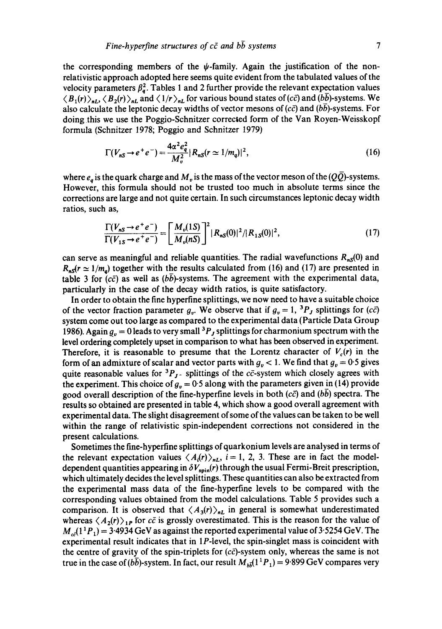the corresponding members of the  $\psi$ -family. Again the justification of the nonrelativistic approach adopted here seems quite evident from the tabulated values of the velocity parameters  $\beta_q^2$ . Tables 1 and 2 further provide the relevant expectation values  $\langle B_1(r)\rangle_{nL}$ ,  $\langle B_2(r)\rangle_{nL}$  and  $\langle 1/r\rangle_{nL}$  for various bound states of (*c* $\bar{c}$ ) and (*bb*)-systems. We also calculate the leptonic decay widths of vector mesons of  $(c\bar{c})$  and  $(b\bar{b})$ -systems. For doing this we use the Poggio-Schnitzer corrected form of the Van Royen-Weisskopf formula (Schnitzer 1978; Poggio and Schnitzer 1979)

$$
\Gamma(V_{nS} \to e^+e^-) = \frac{4\alpha^2 e_q^2}{M_v^2} |R_{nS}(r \simeq 1/m_q)|^2, \tag{16}
$$

where  $e_a$  is the quark charge and  $M_v$  is the mass of the vector meson of the ( $Q\overline{Q}$ )-systems. However, this formula should not be trusted too much in absolute terms since the corrections are large and not quite certain. In such circumstances leptonic decay width ratios, such as,

$$
\frac{\Gamma(V_{nS} \to e^+ e^-)}{\Gamma(V_{1S} \to e^+ e^-)} = \left[\frac{M_v(1S)}{M_v(nS)}\right]^2 |R_{nS}(0)|^2 / |R_{1S}(0)|^2,
$$
\n(17)

can serve as meaningful and reliable quantities. The radial wavefunctions  $R_{nS}(0)$  and  $R_{\text{as}}(r \approx 1/m_a)$  together with the results calculated from (16) and (17) are presented in table 3 for ( $c\bar{c}$ ) as well as ( $b\bar{b}$ )-systems. The agreement with the experimental data, particularly in the case of the decay width ratios, is quite satisfactory.

In order to obtain the fine hyperfine splittings, we now need to have a suitable choice of the vector fraction parameter  $g_v$ . We observe that if  $g_v = 1$ , <sup>3</sup>P<sub>J</sub> splittings for (cc) system come out too large as compared to the experimental data (Particle Data Group 1986). Again  $q_v = 0$  leads to very small <sup>3</sup> $P<sub>J</sub>$  splittings for charmonium spectrum with the level ordering completely upset in comparison to what has been observed in experiment. Therefore, it is reasonable to presume that the Lorentz character of  $V_c(r)$  in the form of an admixture of scalar and vector parts with  $g_v < 1$ . We find that  $g_v = 0.5$  gives quite reasonable values for  ${}^{3}P_{J}$ - splittings of the cc-system which closely agrees with the experiment. This choice of  $g<sub>v</sub> = 0.5$  along with the parameters given in (14) provide good overall description of the fine-hyperfine levels in both  $(c\bar{c})$  and (bb) spectra. The results so obtained are presented in table 4, which show a good overall agreement with experimental data. The slight disagreement of some of the values can be taken to be well within the range of relativistic spin-independent corrections not considered in the present calculations.

Sometimes the fine-hyperfine splittings of quarkonium levels are analysed in terms of the relevant expectation values  $\langle A_i(r) \rangle_{n}$ ,  $i = 1, 2, 3$ . These are in fact the modeldependent quantities appearing in  $\delta V_{\rm spin}(r)$  through the usual Fermi-Breit prescription, which ultimately decides the level splittings. These quantities can also be extracted from the experimental mass data of the fine-hyperfine levels to be compared with the corresponding values obtained from the model calculations. Table 5 provides such a comparison. It is observed that  $\langle A_3(r) \rangle_{n}$  in general is somewhat underestimated whereas  $\langle A_2(r) \rangle_{1P}$  for  $c\bar{c}$  is grossly overestimated. This is the reason for the value of  $M_{c2}(1^1P_1) = 3.4934 \text{ GeV}$  as against the reported experimental value of 3.5254 GeV. The experimental result indicates that in  $1P$ -level, the spin-singlet mass is coincident with the centre of gravity of the spin-triplets for  $(c\bar{c})$ -system only, whereas the same is not true in the case of ( $b\bar{b}$ )-system. In fact, our result  $M_{b\bar{b}}(1^1P_1) = 9.899$  GeV compares very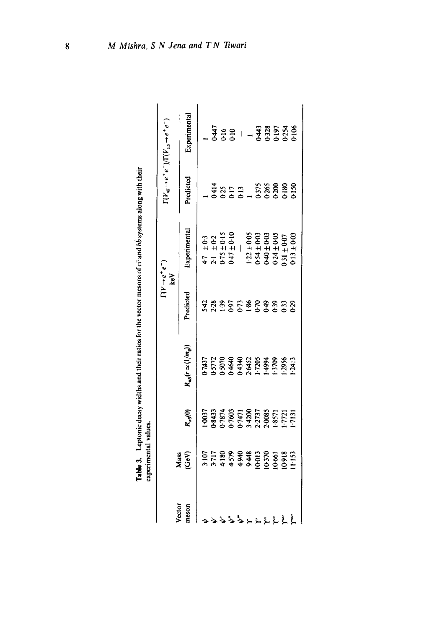|                 |               |                                                                                         |                               |               | $(V \rightarrow e^+e^-)$<br>keV                                                                                                   |                                                                                                                                                                                  | $\Gamma(V_{nS} \rightarrow e^+e^-)/\Gamma(V_{1S} \rightarrow e^+e^-)$       |
|-----------------|---------------|-----------------------------------------------------------------------------------------|-------------------------------|---------------|-----------------------------------------------------------------------------------------------------------------------------------|----------------------------------------------------------------------------------------------------------------------------------------------------------------------------------|-----------------------------------------------------------------------------|
| Vector<br>meson | Mass<br>(GeV) | $R_{nS}(0)$                                                                             | $R_{\rm nS}(r\simeq (1/m_q))$ | Predicted     | Experimental                                                                                                                      | Predicted                                                                                                                                                                        | Experimental                                                                |
|                 |               |                                                                                         |                               |               |                                                                                                                                   |                                                                                                                                                                                  |                                                                             |
|                 |               | 1-0037<br>38433<br>37874 57603<br>374700 574700<br>373737<br>373737<br>1-7721<br>1-7731 |                               | 77.7778889333 | $4.7$ $\pm$ 0.3<br>$2.1$ $\pm$ 0.2<br>0.75 $\pm$ 0.15<br>0.47 $\pm$ 0.10                                                          | $\frac{1}{1}$ $\frac{414}{0.25}$<br>$\frac{617}{0.13}$<br>$\frac{1}{1}$<br>$\frac{1}{1}$<br>$\frac{375}{0.25}$<br>$\frac{375}{0.20}$<br>$\frac{360}{0.15}$<br>$\frac{360}{0.15}$ |                                                                             |
|                 |               |                                                                                         |                               |               |                                                                                                                                   |                                                                                                                                                                                  |                                                                             |
| د یو یو نی      |               |                                                                                         |                               |               |                                                                                                                                   |                                                                                                                                                                                  |                                                                             |
|                 |               |                                                                                         |                               |               |                                                                                                                                   |                                                                                                                                                                                  |                                                                             |
|                 |               |                                                                                         |                               |               |                                                                                                                                   |                                                                                                                                                                                  |                                                                             |
|                 |               |                                                                                         |                               |               |                                                                                                                                   |                                                                                                                                                                                  |                                                                             |
|                 |               |                                                                                         |                               |               |                                                                                                                                   |                                                                                                                                                                                  |                                                                             |
|                 |               |                                                                                         |                               |               |                                                                                                                                   |                                                                                                                                                                                  |                                                                             |
| LLLLL           |               |                                                                                         |                               |               | $1.22 \pm 0.05$<br>$0.54 \pm 0.03$<br>$0.40 \pm 0.03$<br>$0.40 \pm 0.03$<br>$0.34 \pm 0.03$<br>$0.50 \pm 0.03$<br>$0.50 \pm 0.03$ |                                                                                                                                                                                  |                                                                             |
|                 |               |                                                                                         |                               |               |                                                                                                                                   |                                                                                                                                                                                  | $\frac{47}{300}$ = $1 - \frac{47}{300}$ $\frac{875}{300}$ $\frac{575}{300}$ |
|                 |               |                                                                                         |                               |               |                                                                                                                                   |                                                                                                                                                                                  |                                                                             |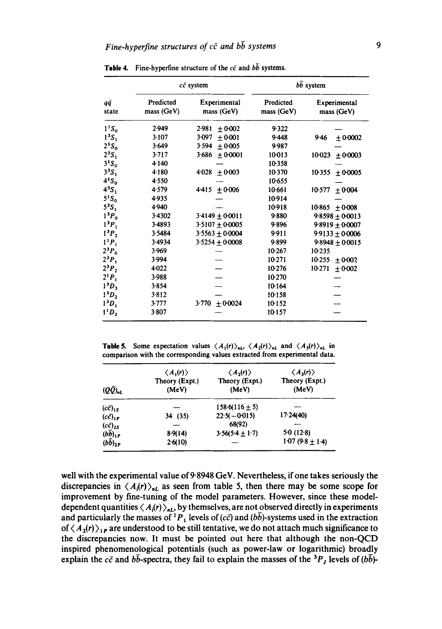|                               |                         | $c\bar{c}$ system          | $b\bar{b}$ system       |                            |  |
|-------------------------------|-------------------------|----------------------------|-------------------------|----------------------------|--|
| qą<br>state                   | Predicted<br>mass (GeV) | Experimental<br>mass (GeV) | Predicted<br>mass (GeV) | Experimental<br>mass (GeV) |  |
| $1^1S_0$                      | 2.949                   | 2.981<br>$+0.002$          | 9.322                   |                            |  |
| 1 <sup>3</sup> S <sub>1</sub> | 3.107                   | 3.097<br>$+0.001$          | 9.448                   | $9-46$<br>± 0.0002         |  |
| $2^1S_0$                      | 3.649                   | 3.594<br>±0.005            | 9.987                   |                            |  |
| 2 <sup>3</sup> S <sub>1</sub> | 3.717                   | 3.686<br>$+0.0001$         | 10.013                  | 10023<br>±0.0003           |  |
| $3^1S_0$                      | 4.140                   |                            | 10.358                  |                            |  |
| 3 <sup>3</sup> S <sub>1</sub> | 4.180                   | 4.028<br>$+0.003$          | 10.370                  | $10-355 \pm 0.0005$        |  |
| $4^1S_0$                      | 4.550                   |                            | 10.655                  |                            |  |
| 4 <sup>3</sup> S <sub>1</sub> | 4.579                   | 4.415<br>±0.006            | 10.661                  | 10.577<br>±0.004           |  |
| $5^1S_0$                      | 4.935                   |                            | 10.914                  |                            |  |
| 5 <sup>3</sup> S              | 4.940                   |                            | 10-918                  | $10.865 \pm 0.008$         |  |
| $1^3P_0$                      | 3.4302                  | $3.4149 + 0.0011$          | 9.880                   | $9.8598 \pm 0.0013$        |  |
| 1 <sup>3</sup> P <sub>1</sub> | 3.4893                  | $3.5107 + 0.0005$          | 9.896                   | $9.8919 \pm 0.0007$        |  |
| 1 <sup>3</sup> P <sub>2</sub> | 3.5484                  | $3.5563 + 0.0004$          | 9.911                   | $9.9133 + 0.0006$          |  |
| $1^{1}P_{1}$                  | 3.4934                  | $3.5254 \pm 0.0008$        | 9.899                   | $9.8948 \pm 0.0015$        |  |
| $2^3P_0$                      | 3.969                   |                            | 10.267                  | $10-235$                   |  |
| $2^3P_1$                      | 3.994                   |                            | 10.271                  | 10255<br>$+0.002$          |  |
| $2^3P_2$                      | $4 - 022$               |                            | 10276                   | 10.271<br>± 0.002          |  |
| $2^1P_1$                      | 3.988                   |                            | 10.270                  |                            |  |
| $13D_3$                       | 3.854                   |                            | 10.164                  |                            |  |
| 1 <sup>3</sup> D <sub>2</sub> | 3.812                   |                            | 10.158                  |                            |  |
| 1 <sup>3</sup> D <sub>1</sub> | 3.777                   | $3.770 \pm 0.0024$         | 10.152                  |                            |  |
| $1^1D_2$                      | 3.807                   |                            | 10·157                  |                            |  |

Table 4. Fine-hyperfine structure of the  $c\bar{c}$  and  $b\bar{b}$  systems.

**Table 5.** Some expectation values  $\langle A_1(r) \rangle_{nL}$ ,  $\langle A_2(r) \rangle_{nL}$  and  $\langle A_3(r) \rangle_{nL}$  in comparison with the corresponding values extracted from experimental data.

| $(Q\bar{Q})_{nL}$ | $\langle A_1(r)\rangle$<br>Theory (Expt.)<br>(MeV) | $\langle A_2(r) \rangle$<br>Theory (Expt.)<br>(MeV) | $\langle A_3(r) \rangle$<br>Theory (Expt.)<br>(MeV) |
|-------------------|----------------------------------------------------|-----------------------------------------------------|-----------------------------------------------------|
| $(c\bar{c})_{15}$ |                                                    | $158.6(116 \pm 5)$                                  |                                                     |
| $(c\bar{c})_{1P}$ | 34 (35)                                            | $22.5(-0.015)$                                      | 17.24(40)                                           |
| $(c\bar{c})_{2S}$ |                                                    | 68(92)                                              |                                                     |
| $(b\bar{b})_{1P}$ | 8.9(14)                                            | $3.56(5.4 \pm 1.7)$                                 | 5.0(12.8)                                           |
| $(b\bar{b})_{2P}$ | 2.6(10)                                            |                                                     | $1.07(9.8 \pm 1.4)$                                 |

well with the experimental value of 9.8948 GeV. Nevertheless, if one takes seriously the discrepancies in  $\langle A_{i}(r)\rangle_{nL}$  as seen from table 5, then there may be some scope for improvement by fine-tuning of the model parameters. However, since these modeldependent quantities  $\langle A_i(r) \rangle_{nL}$ , by themselves, are not observed directly in experiments and particularly the masses of <sup>1</sup>P<sub>1</sub> levels of (cc) and ( $b\overline{b}$ )-systems used in the extraction of  $\langle A_2(r) \rangle_{1P}$  are understood to be still tentative, we do not attach much significance to the discrepancies now. It must be pointed out here that although the non-QCD inspired phenomenological potentials (such as power-law or logarithmic) broadly explain the  $c\bar{c}$  and  $b\bar{b}$ -spectra, they fail to explain the masses of the <sup>3</sup>P<sub>J</sub> levels of ( $b\bar{b}$ )-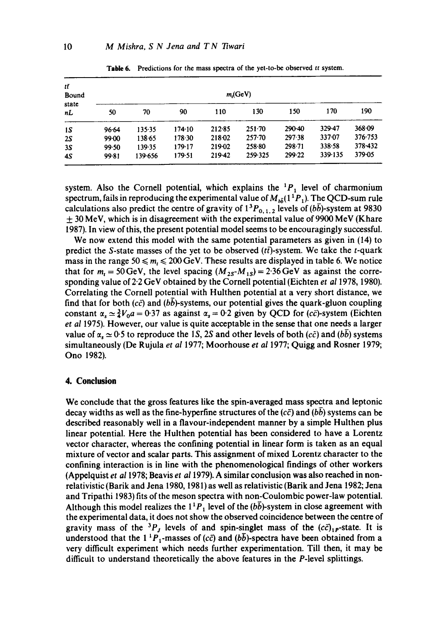| tŦ<br>Bound |       | $m$ <sub>(GeV)</sub> |        |        |            |        |         |         |  |  |  |
|-------------|-------|----------------------|--------|--------|------------|--------|---------|---------|--|--|--|
| state<br>nL | 50    | 70                   | 90     | 110    | 130        | 150    | 170     | 190     |  |  |  |
| 15          | 96.64 | 135.35               | 174.10 | 212.85 | $251 - 70$ | 290-40 | 329-47  | 368-09  |  |  |  |
| 25          | 99-00 | 138.65               | 178.30 | 218.02 | $257 - 70$ | 297.38 | 337-07  | 376.753 |  |  |  |
| 3S          | 99.50 | 139.35               | 179.17 | 219.02 | 258.80     | 298.71 | 338.58  | 378.432 |  |  |  |
| 45          | 99.81 | 139-656              | 179-51 | 219-42 | 259.325    | 299.22 | 339.135 | 379-05  |  |  |  |

Table 6. Predictions for the mass spectra of the yet-to-be observed *tt* system.

system. Also the Cornell potential, which explains the  ${}^{1}P_1$  level of charmonium spectrum, fails in reproducing the experimental value of  $M_{h\bar{h}}(1^1P_1)$ . The QCD-sum rule calculations also predict the centre of gravity of  $1^{3}P_{0,1,2}$  levels of ( $b\bar{b}$ )-system at 9830  $\pm$  30 MeV, which is in disagreement with the experimental value of 9900 MeV (Khare 1987). In view of this, the present potential model seems to be encouragingly successful.

We now extend this model with the same potential parameters as given in (14) to predict the S-state masses of the yet to be observed  $(t\bar{t})$ -system. We take the t-quark mass in the range  $50 \le m_t \le 200 \,\text{GeV}$ . These results are displayed in table 6. We notice that for  $m_t = 50 \text{ GeV}$ , the level spacing  $(M_{25} - M_{15}) = 2.36 \text{ GeV}$  as against the corresponding value of 2.2 GeV obtained by the Cornell potential (Eichten *et al* 1978, 1980). Correlating the Cornell potential with Hulthen potential at a very short distance, we find that for both (cc) and (bb)-systems, our potential gives the quark-gluon coupling constant  $\alpha_1 \simeq \frac{3}{4}V_0a = 0.37$  as against  $\alpha_2 = 0.2$  given by QCD for (c $\bar{c}$ )-system (Eichten *et al* 1975). However, our value is quite acceptable in the sense that one needs a larger value of  $\alpha_x \approx 0.5$  to reproduce the 1S, 2S and other levels of both (c $\bar{c}$ ) and (bb) systems simultaneously (De Rujula *et al* 1977; Moorhouse *et al* 1977; Quigg and Rosner 1979; Ono 1982).

#### **4. Conclusion**

We conclude that the gross features like the spin-averaged mass spectra and leptonic decay widths as well as the fine-hyperfine structures of the  $(c\bar{c})$  and (bb) systems can be described reasonably well in a flavour-independent manner by a simple Hulthen plus linear potential. Here the Hulthen potential has been considered to have a Lorentz vector character, whereas the confining potential in linear form is taken as an equal mixture of vector and scalar parts. This assignment of mixed Lorentz character to the confining interaction is in line with the phenomenoiogical findings of other workers (Appelquist *et a11978;* Beavis *et a11979).* A similar conclusion was also reached in nonrelativistic (Barik and Jena 1980, 1981) as well as relativistic (Barik and Jena 1982; Jena and Tripathi 1983) fits of the meson spectra with non-Coulombic power-law potential. Although this model realizes the  $1^1P_1$  level of the (bb)-system in close agreement with the experimental data, it does not show the observed coincidence between the centre of gravity mass of the <sup>3</sup>P<sub>J</sub> levels of and spin-singlet mass of the  $(c\bar{c})_{1}$ -state. It is understood that the 1<sup>1</sup>P<sub>1</sub>-masses of (c $\bar{c}$ ) and (bb)-spectra have been obtained from a very difficult experiment which needs further experimentation. Till then, it may be difficult to understand theoretically the above features in the P-level splittings.